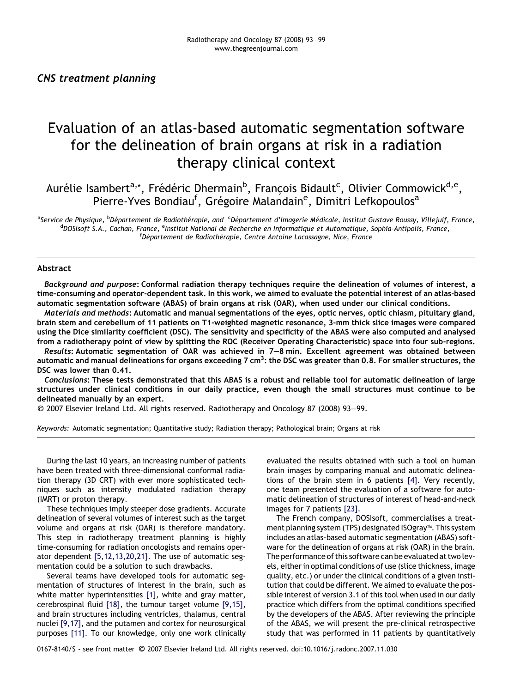# Evaluation of an atlas-based automatic segmentation software for the delineation of brain organs at risk in a radiation therapy clinical context

Aurélie Isambert<sup>a,</sup>\*, Frédéric Dhermain<sup>b</sup>, François Bidault<sup>c</sup>, Olivier Commowick<sup>d,e</sup>, Pierre-Yves Bondiau<sup>f</sup>, Grégoire Malandain<sup>e</sup>, Dimitri Lefkopoulos<sup>a</sup>

<sup>a</sup>Service de Physique, <sup>b</sup>Département de Radiothérapie, and <sup>c</sup>Département d'Imagerie Médicale, Institut Gustave Roussy, Villejuif, France,<br><sup>d</sup>oOSIsoft S.A., Cachan, France, <sup>e</sup>Institut National de Pecherche en Informatiq DOSIsoft S.A., Cachan, France, <sup>e</sup>Institut National de Recherche en Informatique et Automatique, Sophia-Antipolis, France, <sup>f</sup> Département de Radiothérapie, Centre Antoine Lacassagne, Nice, France

#### Abstract

Background and purpose: Conformal radiation therapy techniques require the delineation of volumes of interest, a time-consuming and operator-dependent task. In this work, we aimed to evaluate the potential interest of an atlas-based automatic segmentation software (ABAS) of brain organs at risk (OAR), when used under our clinical conditions.

Materials and methods: Automatic and manual segmentations of the eyes, optic nerves, optic chiasm, pituitary gland, brain stem and cerebellum of 11 patients on T1-weighted magnetic resonance, 3-mm thick slice images were compared using the Dice similarity coefficient (DSC). The sensitivity and specificity of the ABAS were also computed and analysed from a radiotherapy point of view by splitting the ROC (Receiver Operating Characteristic) space into four sub-regions.

Results: Automatic segmentation of OAR was achieved in 7–8 min. Excellent agreement was obtained between automatic and manual delineations for organs exceeding 7 cm<sup>3</sup>: the DSC was greater than 0.8. For smaller structures, the DSC was lower than 0.41.

Conclusions: These tests demonstrated that this ABAS is a robust and reliable tool for automatic delineation of large structures under clinical conditions in our daily practice, even though the small structures must continue to be delineated manually by an expert.

-c 2007 Elsevier Ireland Ltd. All rights reserved. Radiotherapy and Oncology 87 (2008) 93–99.

Keywords: Automatic segmentation; Quantitative study; Radiation therapy; Pathological brain; Organs at risk

During the last 10 years, an increasing number of patients have been treated with three-dimensional conformal radiation therapy (3D CRT) with ever more sophisticated techniques such as intensity modulated radiation therapy (IMRT) or proton therapy.

These techniques imply steeper dose gradients. Accurate delineation of several volumes of interest such as the target volume and organs at risk (OAR) is therefore mandatory. This step in radiotherapy treatment planning is highly time-consuming for radiation oncologists and remains operator dependent [\[5,12,13,20,21\].](#page-5-0) The use of automatic segmentation could be a solution to such drawbacks.

Several teams have developed tools for automatic segmentation of structures of interest in the brain, such as white matter hyperintensities [\[1\],](#page-5-0) white and gray matter, cerebrospinal fluid [\[18\]](#page-6-0), the tumour target volume [\[9,15\]](#page-5-0), and brain structures including ventricles, thalamus, central nuclei [\[9,17\],](#page-5-0) and the putamen and cortex for neurosurgical purposes [\[11\]](#page-6-0). To our knowledge, only one work clinically

evaluated the results obtained with such a tool on human brain images by comparing manual and automatic delineations of the brain stem in 6 patients [\[4\]](#page-5-0). Very recently, one team presented the evaluation of a software for automatic delineation of structures of interest of head-and-neck images for 7 patients [\[23\].](#page-6-0)

The French company, DOSIsoft, commercialises a treatment planning system (TPS) designated ISOgray™. This system includes an atlas-based automatic segmentation (ABAS) software for the delineation of organs at risk (OAR) in the brain. The performance of this software can be evaluated at two levels, either in optimal conditions of use (slice thickness, image quality, etc.) or under the clinical conditions of a given institution that could be different. We aimed to evaluate the possible interest of version 3.1 of this tool when used in our daily practice which differs from the optimal conditions specified by the developers of the ABAS. After reviewing the principle of the ABAS, we will present the pre-clinical retrospective study that was performed in 11 patients by quantitatively

0167-8140/\$ - see front matter © 2007 Elsevier Ireland Ltd. All rights reserved. doi:10.1016/j.radonc.2007.11.030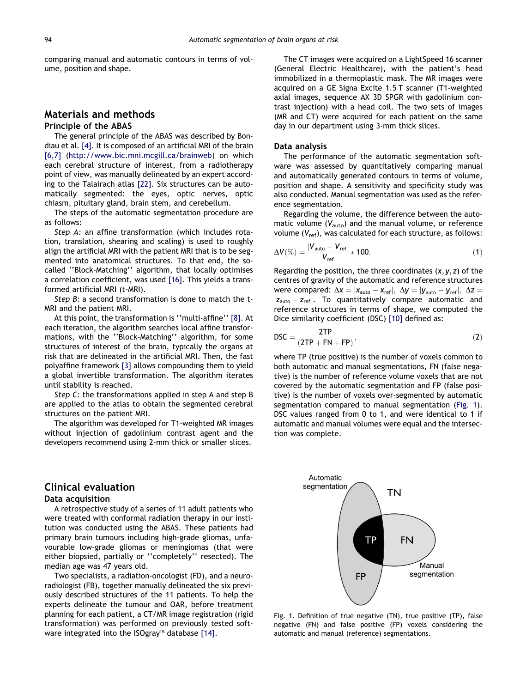<span id="page-1-0"></span>comparing manual and automatic contours in terms of volume, position and shape.

### Materials and methods Principle of the ABAS

The general principle of the ABAS was described by Bondiau et al. [\[4\].](#page-5-0) It is composed of an artificial MRI of the brain [\[6,7\]](#page-5-0) ([http://www.bic.mni.mcgill.ca/brainweb\)](http://www.bic.mni.mcgill.ca/brainweb) on which each cerebral structure of interest, from a radiotherapy point of view, was manually delineated by an expert according to the Talairach atlas [\[22\]](#page-6-0). Six structures can be automatically segmented: the eyes, optic nerves, optic chiasm, pituitary gland, brain stem, and cerebellum.

The steps of the automatic segmentation procedure are as follows:

Step A: an affine transformation (which includes rotation, translation, shearing and scaling) is used to roughly align the artificial MRI with the patient MRI that is to be segmented into anatomical structures. To that end, the socalled ''Block-Matching'' algorithm, that locally optimises a correlation coefficient, was used [\[16\].](#page-6-0) This yields a transformed artificial MRI (t-MRI).

Step B: a second transformation is done to match the t-MRI and the patient MRI.

At this point, the transformation is ''multi-affine'' [\[8\].](#page-5-0) At each iteration, the algorithm searches local affine transformations, with the ''Block-Matching'' algorithm, for some structures of interest of the brain, typically the organs at risk that are delineated in the artificial MRI. Then, the fast polyaffine framework [\[3\]](#page-5-0) allows compounding them to yield a global invertible transformation. The algorithm iterates until stability is reached.

Step C: the transformations applied in step A and step B are applied to the atlas to obtain the segmented cerebral structures on the patient MRI.

The algorithm was developed for T1-weighted MR images without injection of gadolinium contrast agent and the developers recommend using 2-mm thick or smaller slices.

# Clinical evaluation

#### Data acquisition

A retrospective study of a series of 11 adult patients who were treated with conformal radiation therapy in our institution was conducted using the ABAS. These patients had primary brain tumours including high-grade gliomas, unfavourable low-grade gliomas or meningiomas (that were either biopsied, partially or ''completely'' resected). The median age was 47 years old.

Two specialists, a radiation-oncologist (FD), and a neuroradiologist (FB), together manually delineated the six previously described structures of the 11 patients. To help the experts delineate the tumour and OAR, before treatment planning for each patient, a CT/MR image registration (rigid transformation) was performed on previously tested soft-ware integrated into the ISOgray™ database [\[14\]](#page-6-0).

The CT images were acquired on a LightSpeed 16 scanner (General Electric Healthcare), with the patient's head immobilized in a thermoplastic mask. The MR images were acquired on a GE Signa Excite 1.5 T scanner (T1-weighted axial images, sequence AX 3D SPGR with gadolinium contrast injection) with a head coil. The two sets of images (MR and CT) were acquired for each patient on the same day in our department using 3-mm thick slices.

#### Data analysis

The performance of the automatic segmentation software was assessed by quantitatively comparing manual and automatically generated contours in terms of volume, position and shape. A sensitivity and specificity study was also conducted. Manual segmentation was used as the reference segmentation.

Regarding the volume, the difference between the automatic volume  $(V_{\text{auto}})$  and the manual volume, or reference volume  $(V_{ref})$ , was calculated for each structure, as follows:

$$
\Delta V(\%) = \frac{|V_{\text{auto}} - V_{\text{ref}}|}{V_{\text{ref}}} * 100. \tag{1}
$$

Regarding the position, the three coordinates  $(x, y, z)$  of the centres of gravity of the automatic and reference structures were compared:  $\Delta x = |x_{\text{auto}} - x_{\text{ref}}|, \Delta y = |y_{\text{auto}} - y_{\text{ref}}|, \Delta z =$  $|z_{\text{auto}} - z_{\text{ref}}|$ . To quantitatively compare automatic and reference structures in terms of shape, we computed the Dice similarity coefficient (DSC) [\[10\]](#page-6-0) defined as:

$$
\text{DSC} = \frac{\text{2TP}}{(\text{2TP} + \text{FN} + \text{FP})},\tag{2}
$$

where TP (true positive) is the number of voxels common to both automatic and manual segmentations, FN (false negative) is the number of reference volume voxels that are not covered by the automatic segmentation and FP (false positive) is the number of voxels over-segmented by automatic segmentation compared to manual segmentation (Fig. 1). DSC values ranged from 0 to 1, and were identical to 1 if automatic and manual volumes were equal and the intersection was complete.



Fig. 1. Definition of true negative (TN), true positive (TP), false negative (FN) and false positive (FP) voxels considering the automatic and manual (reference) segmentations.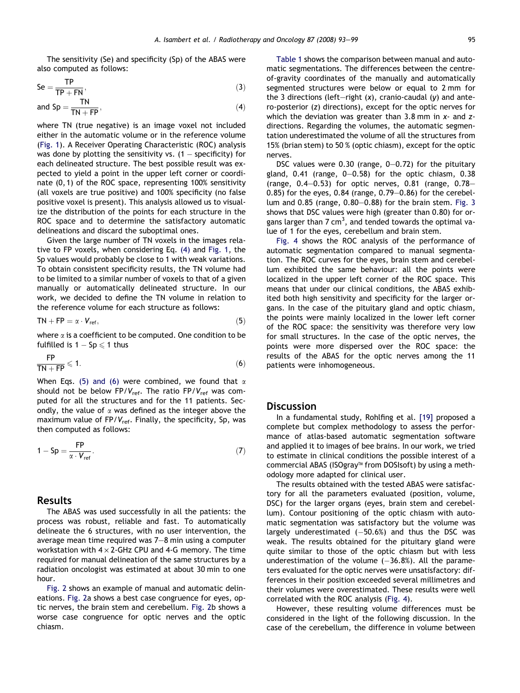The sensitivity (Se) and specificity (Sp) of the ABAS were also computed as follows:

$$
Se = \frac{TP}{TP + FN},
$$
\n(3)

and 
$$
Sp = \frac{TN}{TN + FP}
$$
, (4)

where TN (true negative) is an image voxel not included either in the automatic volume or in the reference volume ([Fig. 1](#page-1-0)). A Receiver Operating Characteristic (ROC) analysis was done by plotting the sensitivity vs.  $(1 -$  specificity) for each delineated structure. The best possible result was expected to yield a point in the upper left corner or coordinate (0, 1) of the ROC space, representing 100% sensitivity (all voxels are true positive) and 100% specificity (no false positive voxel is present). This analysis allowed us to visualize the distribution of the points for each structure in the ROC space and to determine the satisfactory automatic delineations and discard the suboptimal ones.

Given the large number of TN voxels in the images relative to FP voxels, when considering Eq. (4) and [Fig. 1,](#page-1-0) the Sp values would probably be close to 1 with weak variations. To obtain consistent specificity results, the TN volume had to be limited to a similar number of voxels to that of a given manually or automatically delineated structure. In our work, we decided to define the TN volume in relation to the reference volume for each structure as follows:

$$
TN + FP = \alpha \cdot V_{ref}, \qquad (5)
$$

where  $\alpha$  is a coefficient to be computed. One condition to be fulfilled is  $1 - Sp \leq 1$  thus

$$
\frac{\text{FP}}{\text{TN} + \text{FP}} \leq 1. \tag{6}
$$

When Eqs. (5) and (6) were combined, we found that  $\alpha$ should not be below FP/ $V_{ref}$ . The ratio FP/ $V_{ref}$  was computed for all the structures and for the 11 patients. Secondly, the value of  $\alpha$  was defined as the integer above the maximum value of  $FP/V_{ref}$ . Finally, the specificity, Sp, was then computed as follows:

$$
1 - Sp = \frac{FP}{\alpha \cdot V_{ref}}.
$$
 (7)

#### Results

The ABAS was used successfully in all the patients: the process was robust, reliable and fast. To automatically delineate the 6 structures, with no user intervention, the average mean time required was 7–8 min using a computer workstation with  $4 \times 2$ -GHz CPU and 4-G memory. The time required for manual delineation of the same structures by a radiation oncologist was estimated at about 30 min to one hour.

[Fig. 2](#page-3-0) shows an example of manual and automatic delineations. [Fig. 2a](#page-3-0) shows a best case congruence for eyes, optic nerves, the brain stem and cerebellum. [Fig. 2](#page-3-0)b shows a worse case congruence for optic nerves and the optic chiasm.

[Table 1](#page-3-0) shows the comparison between manual and automatic segmentations. The differences between the centreof-gravity coordinates of the manually and automatically segmented structures were below or equal to 2 mm for the 3 directions (left-right  $(x)$ , cranio-caudal  $(y)$  and antero-posterior (z) directions), except for the optic nerves for which the deviation was greater than  $3.8$  mm in  $x$ - and  $z$ directions. Regarding the volumes, the automatic segmentation underestimated the volume of all the structures from 15% (brian stem) to 50 % (optic chiasm), except for the optic nerves.

DSC values were 0.30 (range, 0–0.72) for the pituitary gland, 0.41 (range, 0–0.58) for the optic chiasm, 0.38 (range,  $0.4-0.53$ ) for optic nerves,  $0.81$  (range,  $0.78-$ 0.85) for the eyes, 0.84 (range, 0.79–0.86) for the cerebellum and 0.85 (range, 0.80–0.88) for the brain stem. [Fig. 3](#page-3-0) shows that DSC values were high (greater than 0.80) for organs larger than 7 cm<sup>3</sup>, and tended towards the optimal value of 1 for the eyes, cerebellum and brain stem.

[Fig. 4](#page-4-0) shows the ROC analysis of the performance of automatic segmentation compared to manual segmentation. The ROC curves for the eyes, brain stem and cerebellum exhibited the same behaviour: all the points were localized in the upper left corner of the ROC space. This means that under our clinical conditions, the ABAS exhibited both high sensitivity and specificity for the larger organs. In the case of the pituitary gland and optic chiasm, the points were mainly localized in the lower left corner of the ROC space: the sensitivity was therefore very low for small structures. In the case of the optic nerves, the points were more dispersed over the ROC space: the results of the ABAS for the optic nerves among the 11 patients were inhomogeneous.

## **Discussion**

In a fundamental study, Rohlfing et al. [\[19\]](#page-6-0) proposed a complete but complex methodology to assess the performance of atlas-based automatic segmentation software and applied it to images of bee brains. In our work, we tried to estimate in clinical conditions the possible interest of a commercial ABAS (ISOgray™ from DOSIsoft) by using a methodology more adapted for clinical user.

The results obtained with the tested ABAS were satisfactory for all the parameters evaluated (position, volume, DSC) for the larger organs (eyes, brain stem and cerebellum). Contour positioning of the optic chiasm with automatic segmentation was satisfactory but the volume was largely underestimated  $(-50.6%)$  and thus the DSC was weak. The results obtained for the pituitary gland were quite similar to those of the optic chiasm but with less underestimation of the volume  $(-36.8%)$ . All the parameters evaluated for the optic nerves were unsatisfactory: differences in their position exceeded several millimetres and their volumes were overestimated. These results were well correlated with the ROC analysis ([Fig. 4\)](#page-4-0).

However, these resulting volume differences must be considered in the light of the following discussion. In the case of the cerebellum, the difference in volume between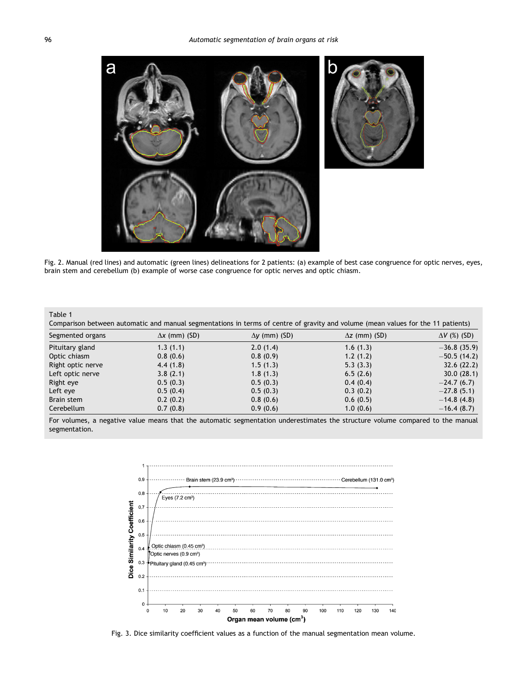<span id="page-3-0"></span>

Fig. 2. Manual (red lines) and automatic (green lines) delineations for 2 patients: (a) example of best case congruence for optic nerves, eyes, brain stem and cerebellum (b) example of worse case congruence for optic nerves and optic chiasm.

| Table 1 |  |
|---------|--|
|---------|--|

| Comparison between automatic and manual segmentations in terms of centre of gravity and volume (mean values for the 11 patients) |                      |                      |                      |                     |  |
|----------------------------------------------------------------------------------------------------------------------------------|----------------------|----------------------|----------------------|---------------------|--|
| Segmented organs                                                                                                                 | $\Delta x$ (mm) (SD) | $\Delta y$ (mm) (SD) | $\Delta z$ (mm) (SD) | $\Delta V$ (%) (SD) |  |
| Pituitary gland                                                                                                                  | 1.3(1.1)             | 2.0(1.4)             | 1.6(1.3)             | $-36.8(35.9)$       |  |
| Optic chiasm                                                                                                                     | 0.8(0.6)             | 0.8(0.9)             | 1.2(1.2)             | $-50.5(14.2)$       |  |
| Right optic nerve                                                                                                                | 4.4(1.8)             | 1.5(1.3)             | 5.3(3.3)             | 32.6(22.2)          |  |
| Left optic nerve                                                                                                                 | 3.8(2.1)             | 1.8(1.3)             | 6.5(2.6)             | 30.0(28.1)          |  |
| Right eye                                                                                                                        | 0.5(0.3)             | 0.5(0.3)             | 0.4(0.4)             | $-24.7(6.7)$        |  |
| Left eye                                                                                                                         | 0.5(0.4)             | 0.5(0.3)             | 0.3(0.2)             | $-27.8(5.1)$        |  |
| Brain stem                                                                                                                       | 0.2(0.2)             | 0.8(0.6)             | 0.6(0.5)             | $-14.8(4.8)$        |  |
| Cerebellum                                                                                                                       | 0.7(0.8)             | 0.9(0.6)             | 1.0(0.6)             | $-16.4(8.7)$        |  |

For volumes, a negative value means that the automatic segmentation underestimates the structure volume compared to the manual segmentation.



Fig. 3. Dice similarity coefficient values as a function of the manual segmentation mean volume.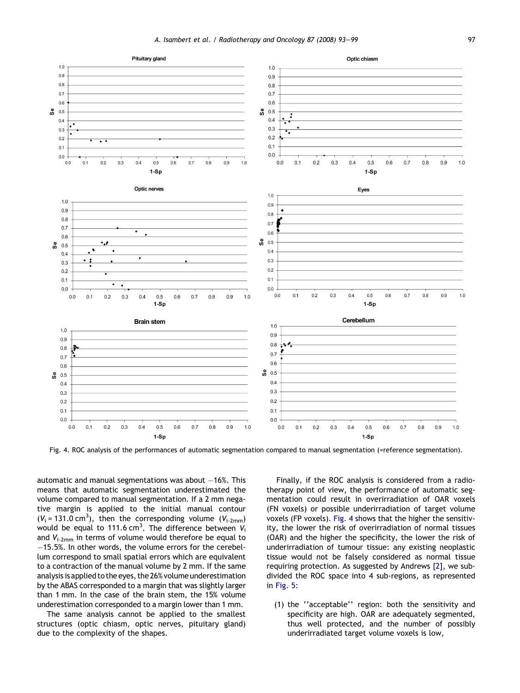<span id="page-4-0"></span>

Fig. 4. ROC analysis of the performances of automatic segmentation compared to manual segmentation (=reference segmentation).

automatic and manual segmentations was about  $-16%$ . This means that automatic segmentation underestimated the volume compared to manual segmentation. If a 2 mm negative margin is applied to the initial manual contour  $(V_i = 131.0 \text{ cm}^3)$ , then the corresponding volume  $(V_{i-2mm})$ would be equal to 111.6 cm $^3$ . The difference between  $V_i$ and  $V_{i-2mm}$  in terms of volume would therefore be equal to  $-15.5%$ . In other words, the volume errors for the cerebellum correspond to small spatial errors which are equivalent to a contraction of the manual volume by 2 mm. If the same analysis is applied to the eyes, the 26% volume underestimation by the ABAS corresponded to a margin that was slightly larger than 1 mm. In the case of the brain stem, the 15% volume underestimation corresponded to a margin lower than 1 mm.

The same analysis cannot be applied to the smallest structures (optic chiasm, optic nerves, pituitary gland) due to the complexity of the shapes.

Finally, if the ROC analysis is considered from a radiotherapy point of view, the performance of automatic segmentation could result in overirradiation of OAR voxels (FN voxels) or possible underirradiation of target volume voxels (FP voxels). Fig. 4 shows that the higher the sensitivity, the lower the risk of overirradiation of normal tissues (OAR) and the higher the specificity, the lower the risk of underirradiation of tumour tissue: any existing neoplastic tissue would not be falsely considered as normal tissue requiring protection. As suggested by Andrews [\[2\]](#page-5-0), we subdivided the ROC space into 4 sub-regions, as represented in [Fig. 5:](#page-5-0)

(1) the ''acceptable'' region: both the sensitivity and specificity are high. OAR are adequately segmented, thus well protected, and the number of possibly underirradiated target volume voxels is low,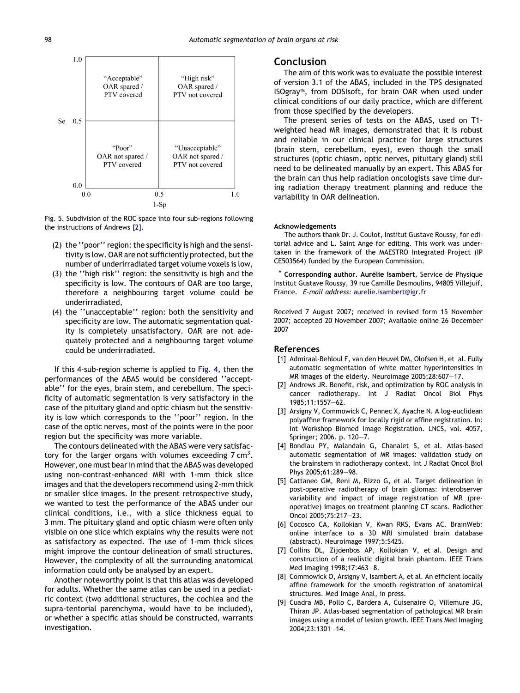<span id="page-5-0"></span>

Fig. 5. Subdivision of the ROC space into four sub-regions following the instructions of Andrews [2].

- (2) the ''poor'' region: the specificity is high and the sensitivity is low. OAR are not sufficiently protected, but the number of underirradiated target volume voxels is low,
- (3) the ''high risk'' region: the sensitivity is high and the specificity is low. The contours of OAR are too large, therefore a neighbouring target volume could be underirradiated,
- (4) the ''unacceptable'' region: both the sensitivity and specificity are low. The automatic segmentation quality is completely unsatisfactory. OAR are not adequately protected and a neighbouring target volume could be underirradiated.

If this 4-sub-region scheme is applied to [Fig. 4,](#page-4-0) then the performances of the ABAS would be considered ''acceptable'' for the eyes, brain stem, and cerebellum. The specificity of automatic segmentation is very satisfactory in the case of the pituitary gland and optic chiasm but the sensitivity is low which corresponds to the ''poor'' region. In the case of the optic nerves, most of the points were in the poor region but the specificity was more variable.

The contours delineated with the ABAS were very satisfactory for the larger organs with volumes exceeding  $7 \text{ cm}^3$ . However, one must bear in mind that the ABAS was developed using non-contrast-enhanced MRI with 1-mm thick slice images and that the developers recommend using 2-mm thick or smaller slice images. In the present retrospective study, we wanted to test the performance of the ABAS under our clinical conditions, i.e., with a slice thickness equal to 3 mm. The pituitary gland and optic chiasm were often only visible on one slice which explains why the results were not as satisfactory as expected. The use of 1-mm thick slices might improve the contour delineation of small structures. However, the complexity of all the surrounding anatomical information could only be analysed by an expert.

Another noteworthy point is that this atlas was developed for adults. Whether the same atlas can be used in a pediatric context (two additional structures, the cochlea and the supra-tentorial parenchyma, would have to be included), or whether a specific atlas should be constructed, warrants investigation.

#### Conclusion

The aim of this work was to evaluate the possible interest of version 3.1 of the ABAS, included in the TPS designated ISOgray™, from DOSIsoft, for brain OAR when used under clinical conditions of our daily practice, which are different from those specified by the developers.

The present series of tests on the ABAS, used on T1 weighted head MR images, demonstrated that it is robust and reliable in our clinical practice for large structures (brain stem, cerebellum, eyes), even though the small structures (optic chiasm, optic nerves, pituitary gland) still need to be delineated manually by an expert. This ABAS for the brain can thus help radiation oncologists save time during radiation therapy treatment planning and reduce the variability in OAR delineation.

#### Acknowledgements

The authors thank Dr. J. Coulot, Institut Gustave Roussy, for editorial advice and L. Saint Ange for editing. This work was undertaken in the framework of the MAESTRO Integrated Project (IP CE503564) funded by the European Commission.

Corresponding author. Aurélie Isambert, Service de Physique Institut Gustave Roussy, 39 rue Camille Desmoulins, 94805 Villejuif, France. E-mail address: [aurelie.isambert@igr.fr](mailto:aurelie.isambert@igr.fr)

Received 7 August 2007; received in revised form 15 November 2007; accepted 20 November 2007; Available online 26 December 2007

#### References

- [1] Admiraal-Behloul F, van den Heuvel DM, Olofsen H, et al. Fully automatic segmentation of white matter hyperintensities in MR images of the elderly. Neuroimage 2005;28:607–17.
- [2] Andrews JR. Benefit, risk, and optimization by ROC analysis in cancer radiotherapy. Int J Radiat Oncol Biol Phys 1985;11:1557–62.
- [3] Arsigny V, Commowick C, Pennec X, Ayache N. A log-euclidean polyaffine framework for locally rigid or affine registration. In: Int Workshop Biomed Image Registration. LNCS, vol. 4057, Springer; 2006. p. 120–7.
- [4] Bondiau PY, Malandain G, Chanalet S, et al. Atlas-based automatic segmentation of MR images: validation study on the brainstem in radiotherapy context. Int J Radiat Oncol Biol Phys 2005;61:289–98.
- [5] Cattaneo GM, Reni M, Rizzo G, et al. Target delineation in post-operative radiotherapy of brain gliomas: interobserver variability and impact of image registration of MR (preoperative) images on treatment planning CT scans. Radiother Oncol 2005;75:217–23.
- [6] Cocosco CA, Kollokian V, Kwan RKS, Evans AC. BrainWeb: online interface to a 3D MRI simulated brain database (abstract). Neuroimage 1997;5:S425.
- [7] Collins DL, Zijdenbos AP, Kollokian V, et al. Design and construction of a realistic digital brain phantom. IEEE Trans Med Imaging 1998;17:463–8.
- [8] Commowick O, Arsigny V, Isambert A, et al. An efficient locally affine framework for the smooth registration of anatomical structures. Med Image Anal, in press.
- [9] Cuadra MB, Pollo C, Bardera A, Cuisenaire O, Villemure JG, Thiran JP. Atlas-based segmentation of pathological MR brain images using a model of lesion growth. IEEE Trans Med Imaging 2004;23:1301–14.